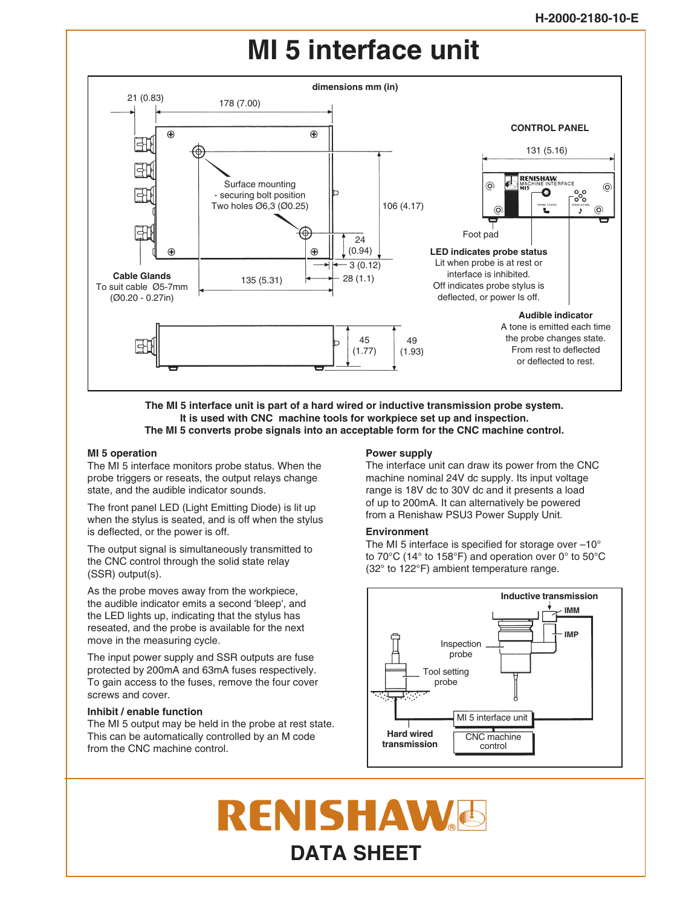## **MI 5 interface unit**



**The MI 5 interface unit is part of a hard wired or inductive transmission probe system. It is used with CNC machine tools for workpiece set up and inspection. The MI 5 converts probe signals into an acceptable form for the CNC machine control.**

#### **MI 5 operation**

The MI 5 interface monitors probe status. When the probe triggers or reseats, the output relays change state, and the audible indicator sounds.

The front panel LED (Light Emitting Diode) is lit up when the stylus is seated, and is off when the stylus is deflected, or the power is off.

The output signal is simultaneously transmitted to the CNC control through the solid state relay (SSR) output(s).

As the probe moves away from the workpiece, the audible indicator emits a second 'bleep', and the LED lights up, indicating that the stylus has reseated, and the probe is available for the next move in the measuring cycle.

The input power supply and SSR outputs are fuse protected by 200mA and 63mA fuses respectively. To gain access to the fuses, remove the four cover screws and cover.

#### **Inhibit / enable function**

The MI 5 output may be held in the probe at rest state. This can be automatically controlled by an M code from the CNC machine control.

#### **Power supply**

The interface unit can draw its power from the CNC machine nominal 24V dc supply. Its input voltage range is 18V dc to 30V dc and it presents a load of up to 200mA. It can alternatively be powered from a Renishaw PSU3 Power Supply Unit.

#### **Environment**

The MI 5 interface is specified for storage over  $-10^{\circ}$ to 70°C (14° to 158°F) and operation over 0° to 50°C (32° to 122°F) ambient temperature range.



# RENISHAW **DATA SHEET**